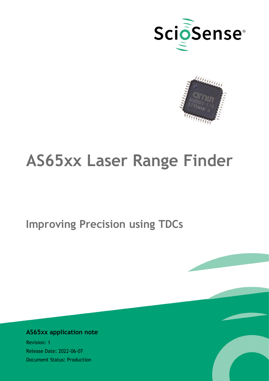



# **AS65xx Laser Range Finder**

**Improving Precision using TDCs**

## **AS65xx application note**

Revision: 1 Release Date: 2022-06-07 Document Status: Production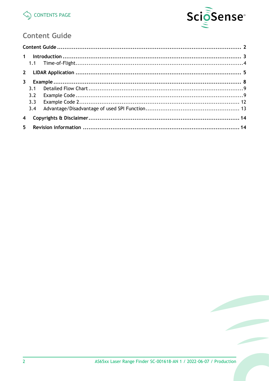



# <span id="page-1-1"></span>**Content Guide**

<span id="page-1-0"></span>

| $\mathbf{3}$   |     |  |
|----------------|-----|--|
|                | 3.1 |  |
|                | 3.2 |  |
|                | 3.3 |  |
|                | 3.4 |  |
| $\overline{4}$ |     |  |
|                |     |  |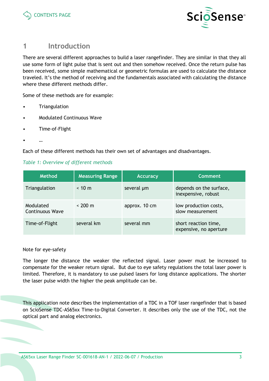



# <span id="page-2-0"></span>**1 Introduction**

There are several different approaches to build a laser rangefinder. They are similar in that they all use some form of light pulse that is sent out and then somehow received. Once the return pulse has been received, some simple mathematical or geometric formulas are used to calculate the distance traveled. It's the method of receiving and the fundamentals associated with calculating the distance where these different methods differ.

Some of these methods are for example:

- Triangulation
- Modulated Continuous Wave
- Time-of-Flight
- $\ddot{\phantom{0}}$

Each of these different methods has their own set of advantages and disadvantages.

#### *Table 1: Overview of different methods*

| <b>Method</b>                | <b>Measuring Range</b> | <b>Accuracy</b> | <b>Comment</b>                                 |
|------------------------------|------------------------|-----------------|------------------------------------------------|
| Triangulation                | $< 10 \text{ m}$       | several um      | depends on the surface,<br>inexpensive, robust |
| Modulated<br>Continuous Wave | $~< 200~{\rm m}$       | approx. 10 cm   | low production costs,<br>slow measurement      |
| Time-of-Flight               | several km             | several mm      | short reaction time,<br>expensive, no aperture |

#### Note for eye-safety

The longer the distance the weaker the reflected signal. Laser power must be increased to compensate for the weaker return signal. But due to eye safety regulations the total laser power is limited. Therefore, it is mandatory to use pulsed lasers for long distance applications. The shorter the laser pulse width the higher the peak amplitude can be.

This application note describes the implementation of a TDC in a TOF laser rangefinder that is based on ScioSense TDC-AS65xx Time-to-Digital Converter. It describes only the use of the TDC, not the optical part and analog electronics.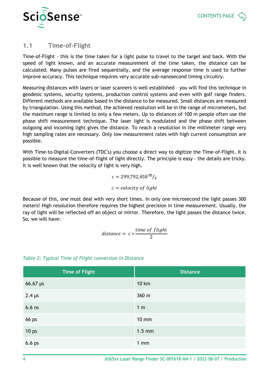

## <span id="page-3-0"></span>**1.1 Time-of-Flight**

Time-of-Flight – this is the time taken for a light pulse to travel to the target and back. With the speed of light known, and an accurate measurement of the time taken, the distance can be calculated. Many pulses are fired sequentially, and the average response time is used to further improve accuracy. This technique requires very accurate sub-nanosecond timing circuitry.

Measuring distances with lasers or laser scanners is well established – you will find this technique in geodesic systems, security systems, production control systems and even with golf range finders. Different methods are available based in the distance to be measured. Small distances are measured by triangulation. Using this method, the achieved resolution will be in the range of micrometers, but the maximum range is limited to only a few meters. Up to distances of 100 m people often use the phase shift measurement technique. The laser light is modulated and the phase shift between outgoing and incoming light gives the distance. To reach a resolution in the millimeter range very high sampling rates are necessary. Only low measurement rates with high current consumption are possible.

With Time-to-Digital-Converters (TDC's) you choose a direct way to digitize the Time-of-Flight. It is possible to measure the time-of-flight of light directly. The principle is easy - the details are tricky. It is well known that the velocity of light is very high.

$$
c = 299,792,458 \frac{m}{s}
$$

$$
c = velocity \ of \ light
$$

Because of this, one must deal with very short times. In only one microsecond the light passes 300 meters! High resolution therefore requires the highest precision in time measurement. Usually, the ray of light will be reflected off an object or mirror. Therefore, the light passes the distance twice. So, we will have:

distance = 
$$
c * \frac{\text{time of flight}}{2}
$$

| <b>Time of Flight</b> | <b>Distance</b> |
|-----------------------|-----------------|
| $66.67 \,\mu s$       | <b>10 km</b>    |
| $2.4 \,\mu s$         | 360 m           |
| $6.6$ ns              | 1 <sub>m</sub>  |
| 66 ps                 | <b>10 mm</b>    |
| 10 <sub>ps</sub>      | $1.5$ mm        |
| 6.6 <sub>ps</sub>     | $1$ mm          |

### *Table 2: Typical Time of Flight conversion in Distance*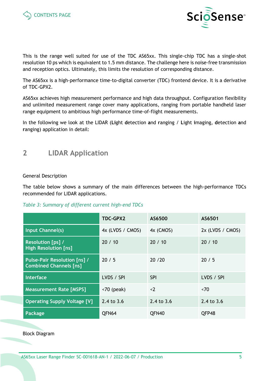



This is the range well suited for use of the TDC AS65xx. This single-chip TDC has a single-shot resolution 10 ps which is equivalent to 1.5 mm distance. The challenge here is noise-free transmission and reception optics. Ultimately, this limits the resolution of corresponding distance.

The AS65xx is a high-performance time-to-digital converter (TDC) frontend device. It is a derivative of TDC-GPX2.

AS65xx achieves high measurement performance and high data throughput. Configuration flexibility and unlimited measurement range cover many applications, ranging from portable handheld laser range equipment to ambitious high performance time-of-flight measurements.

In the following we look at the LIDAR (**Li**ght **d**etection **a**nd **r**anging / **L**ight **i**maging, **d**etection **a**nd **r**anging) application in detail:

# <span id="page-4-0"></span>**2 LIDAR Application**

#### General Description

The table below shows a summary of the main differences between the high-performance TDCs recommended for LIDAR applications.

#### *Table 3: Summary of different current high-end TDCs*

|                                                                      | <b>TDC-GPX2</b>             | AS6500       | AS6501           |
|----------------------------------------------------------------------|-----------------------------|--------------|------------------|
| Input Channel(s)                                                     | 4x (LVDS / CMOS)            | 4x (CMOS)    | 2x (LVDS / CMOS) |
| <b>Resolution [ps] /</b><br><b>High Resolution [ns]</b>              | 20/10                       | 20/10        | 20/10            |
| <b>Pulse-Pair Resolution [ns] /</b><br><b>Combined Channels [ns]</b> | 20/5                        | 20/20        | 20/5             |
| Interface                                                            | LVDS / SPI                  | <b>SPI</b>   | LVDS / SPI       |
| <b>Measurement Rate [MSPS]</b>                                       | $\langle 70 \rangle$ (peak) | < 2          | ~5               |
| <b>Operating Supply Voltage [V]</b>                                  | 2.4 to 3.6                  | 2.4 to $3.6$ | 2.4 to 3.6       |
| Package                                                              | QFN64                       | QFN40        | QFP48            |

Block Diagram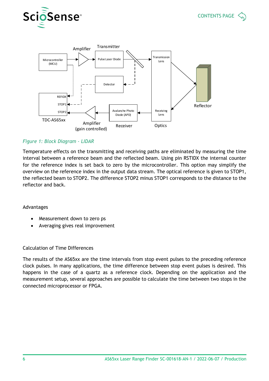



#### *Figure 1: Block Diagram - LIDAR*

Temperature effects on the transmitting and receiving paths are eliminated by measuring the time interval between a reference beam and the reflected beam. Using pin RSTIDX the internal counter for the reference index is set back to zero by the microcontroller. This option may simplify the overview on the reference index in the output data stream. The optical reference is given to STOP1, the reflected beam to STOP2. The difference STOP2 minus STOP1 corresponds to the distance to the reflector and back.

#### Advantages

- Measurement down to zero ps
- Averaging gives real improvement

#### Calculation of Time Differences

The results of the AS65xx are the time intervals from stop event pulses to the preceding reference clock pulses. In many applications, the time difference between stop event pulses is desired. This happens in the case of a quartz as a reference clock. Depending on the application and the measurement setup, several approaches are possible to calculate the time between two stops in the connected microprocessor or FPGA.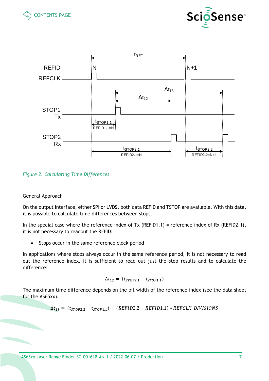





#### *Figure 2: Calculating Time Differences*

#### General Approach

On the output interface, either SPI or LVDS, both data REFID and TSTOP are available. With this data, it is possible to calculate time differences between stops.

In the special case where the reference index of Tx (REFID1.1) = reference index of Rx (REFID2.1), it is not necessary to readout the REFID:

• Stops occur in the same reference clock period

In applications where stops always occur in the same reference period, it is not necessary to read out the reference index. It is sufficient to read out just the stop results and to calculate the difference:

$$
\Delta t_{12} = (t_{STOP2.1} - t_{STOP1.1})
$$

The maximum time difference depends on the bit width of the reference index (see the data sheet for the AS65xx).

$$
\Delta t_{13} = (t_{STOP2.2} - t_{STOP1.1}) + (REFID2.2 - REFID1.1) * REFCLK_DIVISIONS
$$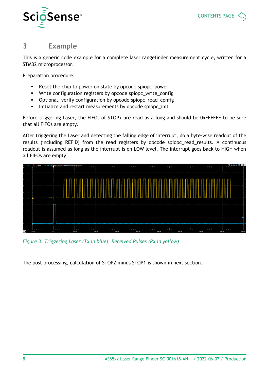![](_page_7_Picture_0.jpeg)

![](_page_7_Picture_1.jpeg)

## <span id="page-7-0"></span>**3 Example**

This is a generic code example for a complete laser rangefinder measurement cycle, written for a STM32 microprocessor.

Preparation procedure:

- Reset the chip to power on state by opcode spiopc\_power
- Write configuration registers by opcode spiopc\_write\_config
- Optional, verify configuration by opcode spiopc\_read\_config
- Initialize and restart measurements by opcode spiopc\_init

Before triggering Laser, the FIFOs of STOPx are read as a long and should be 0xFFFFFF to be sure that all FIFOs are empty.

After triggering the Laser and detecting the falling edge of interrupt, do a byte-wise readout of the results (including REFID) from the read registers by opcode spiopc\_read\_results. A continuous readout is assumed as long as the interrupt is on LOW level. The interrupt goes back to HIGH when all FIFOs are empty.

![](_page_7_Figure_11.jpeg)

*Figure 3: Triggering Laser (Tx in blue), Received Pulses (Rx in yellow)*

The post processing, calculation of STOP2 minus STOP1 is shown in next section.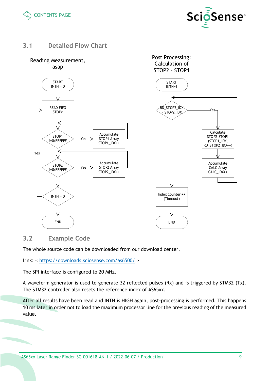![](_page_8_Picture_0.jpeg)

![](_page_8_Picture_1.jpeg)

## <span id="page-8-0"></span>**3.1 Detailed Flow Chart**

![](_page_8_Figure_3.jpeg)

## <span id="page-8-1"></span>**3.2 Example Code**

The whole source code can be downloaded from our download center.

Link: <<https://downloads.sciosense.com/as6500/> >

The SPI interface is configured to 20 MHz.

A waveform generator is used to generate 32 reflected pulses (Rx) and is triggered by STM32 (Tx). The STM32 controller also resets the reference index of AS65xx.

After all results have been read and INTN is HIGH again, post-processing is performed. This happens 10 ms later in order not to load the maximum processor line for the previous reading of the measured value.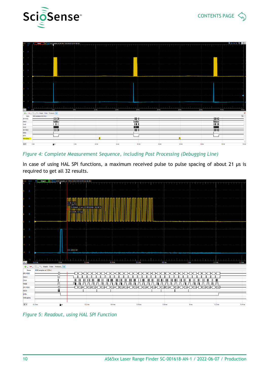![](_page_9_Picture_0.jpeg)

![](_page_9_Picture_1.jpeg)

|                     |                        | C1V C2V < Done C1 C2 8192 samples at 160 kHz   2022-05-03 10:54:48.923 |                                       |                           | الأكاسي          | <b>STATISTICS</b>     |                  | <u>.</u> |                  | <b>STATISTICS</b>                   | <b>STATISTICS</b> | <u>state</u> and the late |                                       | <u>.</u>            | <u>.</u>         | <b>STATISTICS</b> | <b>STATISTICS</b> | <b>STATISTICS</b> |                           |
|---------------------|------------------------|------------------------------------------------------------------------|---------------------------------------|---------------------------|------------------|-----------------------|------------------|----------|------------------|-------------------------------------|-------------------|---------------------------|---------------------------------------|---------------------|------------------|-------------------|-------------------|-------------------|---------------------------|
|                     |                        |                                                                        |                                       |                           |                  |                       |                  |          |                  |                                     |                   |                           |                                       |                     |                  |                   |                   |                   |                           |
|                     |                        |                                                                        |                                       |                           |                  |                       |                  |          |                  |                                     |                   |                           |                                       |                     |                  |                   |                   |                   |                           |
|                     |                        |                                                                        |                                       |                           |                  |                       |                  |          |                  |                                     |                   |                           |                                       |                     |                  |                   |                   |                   |                           |
|                     |                        |                                                                        |                                       |                           |                  |                       |                  |          |                  |                                     |                   |                           |                                       |                     |                  |                   |                   |                   |                           |
|                     |                        |                                                                        |                                       |                           |                  |                       |                  |          |                  |                                     |                   |                           |                                       |                     |                  |                   |                   |                   |                           |
|                     |                        |                                                                        |                                       |                           |                  |                       |                  |          |                  |                                     |                   |                           |                                       |                     |                  |                   |                   |                   |                           |
| $\mathbf{z}$        |                        |                                                                        |                                       |                           |                  |                       |                  |          |                  |                                     |                   |                           |                                       |                     |                  |                   |                   |                   |                           |
|                     |                        |                                                                        |                                       |                           |                  |                       |                  |          |                  |                                     |                   |                           |                                       |                     |                  |                   |                   |                   |                           |
|                     |                        |                                                                        |                                       |                           |                  |                       |                  |          |                  |                                     |                   |                           |                                       |                     |                  |                   |                   |                   |                           |
|                     |                        |                                                                        |                                       |                           |                  |                       |                  |          |                  |                                     |                   |                           |                                       |                     |                  |                   |                   |                   |                           |
| $\mathbf{x}$ $\sim$ | $-5$ ms                | .                                                                      | and the control of<br>0 <sub>ms</sub> | <b>CONTRACTOR</b><br>S ms | and the state of | .<br>10 <sub>ms</sub> |                  | .        | 15 <sub>ms</sub> | and the control<br>20 <sub>ms</sub> |                   | .                         | and a state of<br>$25 \, \mathrm{ms}$ | the contract of the | 30 <sub>ms</sub> |                   | 35 <sub>ms</sub>  | 40 ms             | 45 ms                     |
|                     |                        | $\frac{1}{2}$ = $\boxed{ }$ T. Simple Pulse Protocol. $\rightarrow$    |                                       |                           |                  |                       |                  |          |                  |                                     |                   |                           |                                       |                     |                  |                   |                   |                   | $\mathsf{x}$              |
| Name                | 4096 samples at 80 kHz |                                                                        |                                       |                           |                  |                       |                  |          |                  |                                     |                   |                           |                                       |                     |                  |                   |                   |                   | $\mathfrak{B}$            |
| SPI MOSI            |                        |                                                                        | ⊣ннн                                  |                           |                  |                       |                  |          |                  | ₩                                   |                   |                           |                                       |                     |                  |                   |                   | -000000           |                           |
| Select              |                        |                                                                        | ™<br>$\mathbb{H}$                     |                           |                  |                       |                  |          |                  | ™<br>Ш                              |                   |                           |                                       |                     |                  |                   |                   | ™<br><b>IIII</b>  |                           |
| Clock<br>MOSI       |                        |                                                                        |                                       |                           |                  |                       |                  |          |                  | n an                                |                   |                           |                                       |                     |                  |                   |                   |                   |                           |
| SPI MISO            |                        |                                                                        | ⊣ннн                                  |                           |                  |                       |                  |          |                  | ₩                                   |                   |                           |                                       |                     |                  |                   |                   | <b>-DON-HOD-</b>  |                           |
| MISO                |                        |                                                                        |                                       |                           |                  |                       |                  |          |                  |                                     |                   |                           |                                       |                     |                  |                   |                   |                   |                           |
| <b>ENTN</b>         |                        |                                                                        |                                       |                           |                  |                       |                  |          |                  |                                     |                   |                           |                                       |                     |                  |                   |                   |                   |                           |
| Debugging           |                        |                                                                        |                                       |                           |                  |                       |                  |          |                  |                                     |                   |                           |                                       |                     |                  |                   |                   |                   |                           |
|                     |                        |                                                                        |                                       |                           |                  |                       |                  |          |                  |                                     |                   |                           |                                       |                     |                  |                   |                   |                   |                           |
| $x -$               | $-5$ ms                |                                                                        | <b>Orns</b>                           |                           | 5 ms             |                       | 10 <sub>ms</sub> |          | 15 <sub>ms</sub> | 20 <sub>ms</sub>                    |                   |                           | 25 <sub>ms</sub>                      |                     | 30 ms            |                   | 35 ms             |                   | 45 ms<br>40 <sub>ms</sub> |

*Figure 4: Complete Measurement Sequence, including Post Processing (Debugging Line)*

In case of using HAL SPI functions, a maximum received pulse to pulse spacing of about 21 µs is required to get all 32 results.

![](_page_9_Figure_5.jpeg)

*Figure 5: Readout, using HAL SPI Function*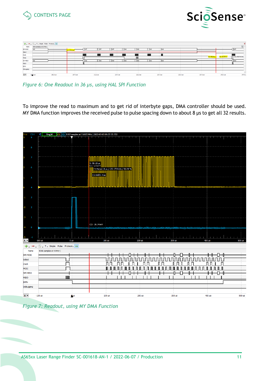![](_page_10_Picture_0.jpeg)

![](_page_10_Picture_1.jpeg)

|                     | $\Rightarrow$ $\blacksquare$ T. Simple Pulse Protocol.<br>× |          |             |          |            |          |          |     |          |          |                |                       |                      |
|---------------------|-------------------------------------------------------------|----------|-------------|----------|------------|----------|----------|-----|----------|----------|----------------|-----------------------|----------------------|
| Name                | 4096 samples at 50 MHz                                      |          |             |          |            |          |          |     |          |          |                |                       | $\mathcal{L}$        |
| SPI MOSI            | hoo                                                         |          | 1: 205.6 us |          | hFF        | h00      |          | hDO | hoo      |          |                |                       |                      |
| Select              |                                                             |          |             |          |            |          |          |     |          |          |                |                       |                      |
| Clock               |                                                             |          |             |          |            |          |          |     |          |          |                |                       |                      |
| MOSI                |                                                             |          |             |          |            |          | Ш        |     |          |          | $X2: 240.9$ us | $\Delta X$ : 35.24 us | 1/AX: 28.3785743 kHz |
| SPI MISO            | hoo                                                         |          |             | hoo      | h00<br>hDO | hoo      | hon      | hoo | hoo      |          |                |                       | hoo                  |
| MISO                |                                                             |          |             |          |            |          |          |     |          |          |                |                       |                      |
| <b>ENTN</b>         |                                                             |          |             |          |            |          |          |     |          |          |                |                       |                      |
| Debugging           |                                                             |          |             |          |            |          |          |     |          |          |                |                       |                      |
|                     |                                                             |          |             |          |            |          |          |     |          |          |                |                       |                      |
| $\mathbf{x}$ $\neq$ | 197 <sub>5</sub> us                                         | 202.5 us | 207.5 us    | 212.5 us |            | 217.5 us | 222.5 us |     | 227.5 us | 232.5 us | 237.5 us       | 242.5 us              | 247.5                |

*Figure 6: One Readout in 36 µs, using HAL SPI Function*

To improve the read to maximum and to get rid of interbyte gaps, DMA controller should be used. MY DMA function improves the received pulse to pulse spacing down to about 8 µs to get all 32 results.

![](_page_10_Figure_5.jpeg)

*Figure 7: Readout, using MY DMA Function*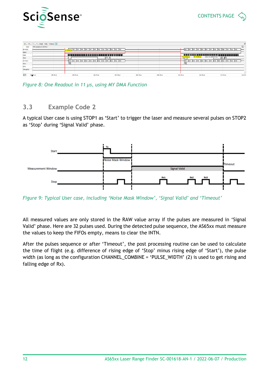![](_page_11_Picture_0.jpeg)

|                     |                         |           |                                                         | - T. Simple Pulse Protocol. - |           |           |            |                                                         |                            |        |  |  |  |  |  |  |  |
|---------------------|-------------------------|-----------|---------------------------------------------------------|-------------------------------|-----------|-----------|------------|---------------------------------------------------------|----------------------------|--------|--|--|--|--|--|--|--|
| Name                | 4096 samples at 100 MHz |           |                                                         |                               |           |           |            |                                                         |                            |        |  |  |  |  |  |  |  |
| SPI MOSI            |                         |           | see hPF hPF hPF hPF hPF hPF hPF h00 h02 h63 h00 h00 h00 |                               |           |           |            | has her her her her her her her hoo hoz has hoo hoo hoo |                            |        |  |  |  |  |  |  |  |
| Select              |                         |           |                                                         |                               |           |           |            |                                                         |                            |        |  |  |  |  |  |  |  |
| Clock               |                         |           | بالسابط الساسا السالكة                                  |                               |           |           |            | <u>sistema provincia de la provinc</u>                  |                            |        |  |  |  |  |  |  |  |
| MOSI                |                         |           |                                                         | $\mathbb{I} \cap \mathbb{I}$  |           |           |            | 1/4X: 91.3649775 kHz<br>AX: 10.95 us                    | $\mathbb{R}$               |        |  |  |  |  |  |  |  |
| <b>SPI MISO</b>     |                         |           |                                                         |                               |           |           | hoo<br>168 | h00 h00 h00<br>h00 h00                                  | hoo<br>hoo hoo hoo hoo hoo |        |  |  |  |  |  |  |  |
| <b>MISO</b>         |                         | Πľ        |                                                         |                               |           |           | ╖          |                                                         |                            |        |  |  |  |  |  |  |  |
| <b>INTN</b>         |                         |           |                                                         |                               |           |           |            |                                                         |                            |        |  |  |  |  |  |  |  |
| Debugging           |                         |           |                                                         |                               |           |           |            |                                                         |                            |        |  |  |  |  |  |  |  |
|                     |                         |           |                                                         |                               |           |           |            |                                                         |                            |        |  |  |  |  |  |  |  |
| $\mathbf{x}$ $\sim$ | 196478 us<br>198.78 us  | 200.78 us | 202.78 us                                               | 204.78 us                     | 206.78 us | 208.78 us | 210.78 us  | 212.78 us                                               | 214.78 us                  | 216.78 |  |  |  |  |  |  |  |

*Figure 8: One Readout in 11 µs, using MY DMA Function*

## <span id="page-11-0"></span>**3.3 Example Code 2**

A typical User case is using STOP1 as 'Start' to trigger the laser and measure several pulses on STOP2 as 'Stop' during 'Signal Valid' phase.

![](_page_11_Figure_6.jpeg)

*Figure 9: Typical User case, including 'Noise Mask Window', 'Signal Valid' and 'Timeout'*

All measured values are only stored in the RAW value array if the pulses are measured in 'Signal Valid' phase. Here are 32 pulses used. During the detected pulse sequence, the AS65xx must measure the values to keep the FIFOs empty, means to clear the INTN.

After the pulses sequence or after 'Timeout', the post processing routine can be used to calculate the time of flight (e.g. difference of rising edge of 'Stop' minus rising edge of 'Start'), the pulse width (as long as the configuration CHANNEL\_COMBINE = 'PULSE\_WIDTH' (2) is used to get rising and falling edge of Rx).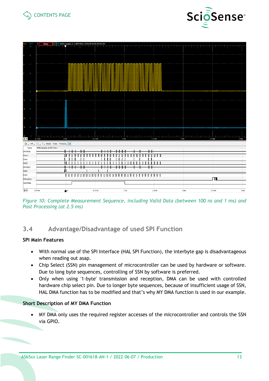![](_page_12_Picture_0.jpeg)

![](_page_12_Picture_1.jpeg)

| 9<br><u> Annis</u><br>المناكات الأناة<br>.<br>.<br>. .<br>. .<br><b>The Line</b><br>.<br>$\bf{8}$<br>$\overline{7}$<br>6<br>$\overline{\mathbf{5}}$<br>$\ddot{4}$<br>$\overline{\mathbf{3}}$<br>$\cdot$ 1<br>$\overline{2}$<br>$-2$<br>$\blacksquare$<br>-3<br>$\mathbf 0$<br>å,<br>$1 - 1 - 1 - 1$<br>$1 - 1 - 1 - 1$<br>$1 - 1 - 1$<br>$-1$<br>$1 - 1 - 1$<br>n.<br>$\mathbf{I}$ and $\mathbf{I}$<br>$1 - 1 - 1 - 1$<br><u>a Tanzania da Ba</u><br>$\frac{45}{x}$<br>$-0.5$ ms<br>0.5 <sub>ms</sub><br>1 <sub>ms</sub><br>1.5 <sub>ms</sub><br>2 ms<br>2.5 <sub>ms</sub><br>0 <sub>ms</sub><br>T Simple Pulse Protocol =<br>÷.<br>4096 samples at 800 kHz  <br>Name<br><b>SPI MOSI</b><br>Ш<br>णा<br>Select<br>Ш<br>ш<br><b>Clock</b><br>ПT<br>MOSI<br>SPI MISO<br>┬<br>MISO<br>TITUTUTUTUTU<br><b>INTN</b><br>π<br>Debugging<br><b>Valid Data</b><br>$x -$<br>$-0.5$ ms<br>Qms<br>0.5 <sub>ms</sub><br>1.5 <sub>ms</sub><br>2.5 <sub>ms</sub><br>1 <sub>ms</sub><br>2 <sub>ms</sub> | $C1V$ $C2V$ | ◯ Done $ C1 C2 8192$ samples at 1.5873 MHz   2022-05-09 09:30:53.203 |                |              |  |  |  |  |  |      |
|----------------------------------------------------------------------------------------------------------------------------------------------------------------------------------------------------------------------------------------------------------------------------------------------------------------------------------------------------------------------------------------------------------------------------------------------------------------------------------------------------------------------------------------------------------------------------------------------------------------------------------------------------------------------------------------------------------------------------------------------------------------------------------------------------------------------------------------------------------------------------------------------------------------------------------------------------------------------------------------|-------------|----------------------------------------------------------------------|----------------|--------------|--|--|--|--|--|------|
|                                                                                                                                                                                                                                                                                                                                                                                                                                                                                                                                                                                                                                                                                                                                                                                                                                                                                                                                                                                        |             |                                                                      | الأكتر الساكال | السالما الكا |  |  |  |  |  |      |
|                                                                                                                                                                                                                                                                                                                                                                                                                                                                                                                                                                                                                                                                                                                                                                                                                                                                                                                                                                                        |             |                                                                      |                |              |  |  |  |  |  |      |
|                                                                                                                                                                                                                                                                                                                                                                                                                                                                                                                                                                                                                                                                                                                                                                                                                                                                                                                                                                                        |             |                                                                      |                |              |  |  |  |  |  |      |
|                                                                                                                                                                                                                                                                                                                                                                                                                                                                                                                                                                                                                                                                                                                                                                                                                                                                                                                                                                                        |             |                                                                      |                |              |  |  |  |  |  |      |
|                                                                                                                                                                                                                                                                                                                                                                                                                                                                                                                                                                                                                                                                                                                                                                                                                                                                                                                                                                                        |             |                                                                      |                |              |  |  |  |  |  |      |
|                                                                                                                                                                                                                                                                                                                                                                                                                                                                                                                                                                                                                                                                                                                                                                                                                                                                                                                                                                                        |             |                                                                      |                |              |  |  |  |  |  |      |
|                                                                                                                                                                                                                                                                                                                                                                                                                                                                                                                                                                                                                                                                                                                                                                                                                                                                                                                                                                                        |             |                                                                      |                |              |  |  |  |  |  |      |
|                                                                                                                                                                                                                                                                                                                                                                                                                                                                                                                                                                                                                                                                                                                                                                                                                                                                                                                                                                                        |             |                                                                      |                |              |  |  |  |  |  |      |
|                                                                                                                                                                                                                                                                                                                                                                                                                                                                                                                                                                                                                                                                                                                                                                                                                                                                                                                                                                                        |             |                                                                      |                |              |  |  |  |  |  |      |
|                                                                                                                                                                                                                                                                                                                                                                                                                                                                                                                                                                                                                                                                                                                                                                                                                                                                                                                                                                                        |             |                                                                      |                |              |  |  |  |  |  |      |
|                                                                                                                                                                                                                                                                                                                                                                                                                                                                                                                                                                                                                                                                                                                                                                                                                                                                                                                                                                                        |             |                                                                      |                |              |  |  |  |  |  | 3 ms |
|                                                                                                                                                                                                                                                                                                                                                                                                                                                                                                                                                                                                                                                                                                                                                                                                                                                                                                                                                                                        |             |                                                                      |                |              |  |  |  |  |  |      |
|                                                                                                                                                                                                                                                                                                                                                                                                                                                                                                                                                                                                                                                                                                                                                                                                                                                                                                                                                                                        |             |                                                                      |                |              |  |  |  |  |  |      |
|                                                                                                                                                                                                                                                                                                                                                                                                                                                                                                                                                                                                                                                                                                                                                                                                                                                                                                                                                                                        |             |                                                                      |                |              |  |  |  |  |  |      |
|                                                                                                                                                                                                                                                                                                                                                                                                                                                                                                                                                                                                                                                                                                                                                                                                                                                                                                                                                                                        |             |                                                                      |                |              |  |  |  |  |  |      |
|                                                                                                                                                                                                                                                                                                                                                                                                                                                                                                                                                                                                                                                                                                                                                                                                                                                                                                                                                                                        |             |                                                                      |                |              |  |  |  |  |  |      |
|                                                                                                                                                                                                                                                                                                                                                                                                                                                                                                                                                                                                                                                                                                                                                                                                                                                                                                                                                                                        |             |                                                                      |                |              |  |  |  |  |  |      |
|                                                                                                                                                                                                                                                                                                                                                                                                                                                                                                                                                                                                                                                                                                                                                                                                                                                                                                                                                                                        |             |                                                                      |                |              |  |  |  |  |  |      |
|                                                                                                                                                                                                                                                                                                                                                                                                                                                                                                                                                                                                                                                                                                                                                                                                                                                                                                                                                                                        |             |                                                                      |                |              |  |  |  |  |  |      |
|                                                                                                                                                                                                                                                                                                                                                                                                                                                                                                                                                                                                                                                                                                                                                                                                                                                                                                                                                                                        |             |                                                                      |                |              |  |  |  |  |  |      |
|                                                                                                                                                                                                                                                                                                                                                                                                                                                                                                                                                                                                                                                                                                                                                                                                                                                                                                                                                                                        |             |                                                                      |                |              |  |  |  |  |  |      |
|                                                                                                                                                                                                                                                                                                                                                                                                                                                                                                                                                                                                                                                                                                                                                                                                                                                                                                                                                                                        |             |                                                                      |                |              |  |  |  |  |  |      |
|                                                                                                                                                                                                                                                                                                                                                                                                                                                                                                                                                                                                                                                                                                                                                                                                                                                                                                                                                                                        |             |                                                                      |                |              |  |  |  |  |  | 3 ms |

*Figure 10: Complete Measurement Sequence, including Valid Data (between 100 ns and 1 ms) and Post Processing (at 2.5 ms)*

## <span id="page-12-0"></span>**3.4 Advantage/Disadvantage of used SPI Function**

#### **SPI Main Features**

- With normal use of the SPI Interface (HAL SPI Function), the interbyte gap is disadvantageous when reading out asap.
- Chip Select (SSN) pin management of microcontroller can be used by hardware or software. Due to long byte sequences, controlling of SSN by software is preferred.
- Only when using '1-byte' transmission and reception, DMA can be used with controlled hardware chip select pin. Due to longer byte sequences, because of insufficient usage of SSN, HAL DMA function has to be modified and that's why MY DMA function is used in our example.

#### **Short Description of MY DMA Function**

• MY DMA only uses the required register accesses of the microcontroller and controls the SSN via GPIO.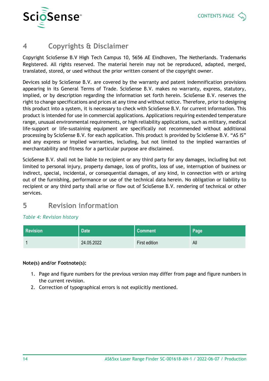![](_page_13_Picture_0.jpeg)

# <span id="page-13-0"></span>**4 Copyrights & Disclaimer**

Copyright ScioSense B.V High Tech Campus 10, 5656 AE Eindhoven, The Netherlands. Trademarks Registered. All rights reserved. The material herein may not be reproduced, adapted, merged, translated, stored, or used without the prior written consent of the copyright owner.

Devices sold by ScioSense B.V. are covered by the warranty and patent indemnification provisions appearing in its General Terms of Trade. ScioSense B.V. makes no warranty, express, statutory, implied, or by description regarding the information set forth herein. ScioSense B.V. reserves the right to change specifications and prices at any time and without notice. Therefore, prior to designing this product into a system, it is necessary to check with ScioSense B.V. for current information. This product is intended for use in commercial applications. Applications requiring extended temperature range, unusual environmental requirements, or high reliability applications, such as military, medical life-support or life-sustaining equipment are specifically not recommended without additional processing by ScioSense B.V. for each application. This product is provided by ScioSense B.V. "AS IS" and any express or implied warranties, including, but not limited to the implied warranties of merchantability and fitness for a particular purpose are disclaimed.

ScioSense B.V. shall not be liable to recipient or any third party for any damages, including but not limited to personal injury, property damage, loss of profits, loss of use, interruption of business or indirect, special, incidental, or consequential damages, of any kind, in connection with or arising out of the furnishing, performance or use of the technical data herein. No obligation or liability to recipient or any third party shall arise or flow out of ScioSense B.V. rendering of technical or other services.

# <span id="page-13-1"></span>**5 Revision information**

#### *Table 4: Revision history*

| <b>Revision</b> | <b>Date</b> | <b>Comment</b> | Page |  |  |
|-----------------|-------------|----------------|------|--|--|
|                 | 24.05.2022  | First edition  | All  |  |  |

#### **Note(s) and/or Footnote(s):**

- 1. Page and figure numbers for the previous version may differ from page and figure numbers in the current revision.
- 2. Correction of typographical errors is not explicitly mentioned.